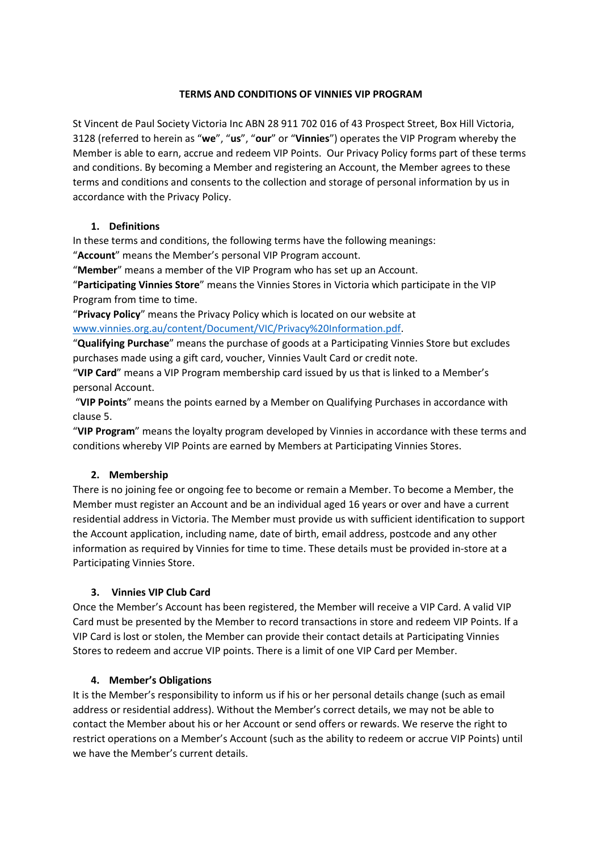### **TERMS AND CONDITIONS OF VINNIES VIP PROGRAM**

St Vincent de Paul Society Victoria Inc ABN 28 911 702 016 of 43 Prospect Street, Box Hill Victoria, 3128 (referred to herein as "**we**", "**us**", "**our**" or "**Vinnies**") operates the VIP Program whereby the Member is able to earn, accrue and redeem VIP Points. Our Privacy Policy forms part of these terms and conditions. By becoming a Member and registering an Account, the Member agrees to these terms and conditions and consents to the collection and storage of personal information by us in accordance with the Privacy Policy.

## **1. Definitions**

In these terms and conditions, the following terms have the following meanings:

"**Account**" means the Member's personal VIP Program account.

"**Member**" means a member of the VIP Program who has set up an Account.

"**Participating Vinnies Store**" means the Vinnies Stores in Victoria which participate in the VIP Program from time to time.

"**Privacy Policy**" means the Privacy Policy which is located on our website at [www.vinnies.org.au/content/Document/VIC/Privacy%20Information.pdf.](http://www.vinnies.org.au/content/Document/VIC/Privacy%20Information.pdf)

"**Qualifying Purchase**" means the purchase of goods at a Participating Vinnies Store but excludes purchases made using a gift card, voucher, Vinnies Vault Card or credit note.

"**VIP Card**" means a VIP Program membership card issued by us that is linked to a Member's personal Account.

"**VIP Points**" means the points earned by a Member on Qualifying Purchases in accordance with clause 5.

"**VIP Program**" means the loyalty program developed by Vinnies in accordance with these terms and conditions whereby VIP Points are earned by Members at Participating Vinnies Stores.

## **2. Membership**

There is no joining fee or ongoing fee to become or remain a Member. To become a Member, the Member must register an Account and be an individual aged 16 years or over and have a current residential address in Victoria. The Member must provide us with sufficient identification to support the Account application, including name, date of birth, email address, postcode and any other information as required by Vinnies for time to time. These details must be provided in-store at a Participating Vinnies Store.

## **3. Vinnies VIP Club Card**

Once the Member's Account has been registered, the Member will receive a VIP Card. A valid VIP Card must be presented by the Member to record transactions in store and redeem VIP Points. If a VIP Card is lost or stolen, the Member can provide their contact details at Participating Vinnies Stores to redeem and accrue VIP points. There is a limit of one VIP Card per Member.

## **4. Member's Obligations**

It is the Member's responsibility to inform us if his or her personal details change (such as email address or residential address). Without the Member's correct details, we may not be able to contact the Member about his or her Account or send offers or rewards. We reserve the right to restrict operations on a Member's Account (such as the ability to redeem or accrue VIP Points) until we have the Member's current details.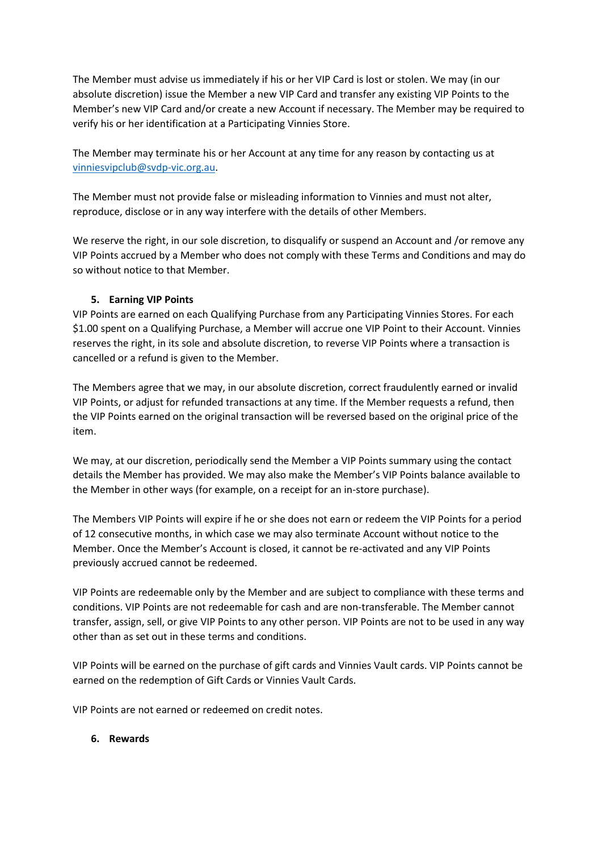The Member must advise us immediately if his or her VIP Card is lost or stolen. We may (in our absolute discretion) issue the Member a new VIP Card and transfer any existing VIP Points to the Member's new VIP Card and/or create a new Account if necessary. The Member may be required to verify his or her identification at a Participating Vinnies Store.

The Member may terminate his or her Account at any time for any reason by contacting us at [vinniesvipclub@svdp-vic.org.au.](mailto:vinniesvipclub@svdp-vic.org.au)

The Member must not provide false or misleading information to Vinnies and must not alter, reproduce, disclose or in any way interfere with the details of other Members.

We reserve the right, in our sole discretion, to disqualify or suspend an Account and /or remove any VIP Points accrued by a Member who does not comply with these Terms and Conditions and may do so without notice to that Member.

### **5. Earning VIP Points**

VIP Points are earned on each Qualifying Purchase from any Participating Vinnies Stores. For each \$1.00 spent on a Qualifying Purchase, a Member will accrue one VIP Point to their Account. Vinnies reserves the right, in its sole and absolute discretion, to reverse VIP Points where a transaction is cancelled or a refund is given to the Member.

The Members agree that we may, in our absolute discretion, correct fraudulently earned or invalid VIP Points, or adjust for refunded transactions at any time. If the Member requests a refund, then the VIP Points earned on the original transaction will be reversed based on the original price of the item.

We may, at our discretion, periodically send the Member a VIP Points summary using the contact details the Member has provided. We may also make the Member's VIP Points balance available to the Member in other ways (for example, on a receipt for an in-store purchase).

The Members VIP Points will expire if he or she does not earn or redeem the VIP Points for a period of 12 consecutive months, in which case we may also terminate Account without notice to the Member. Once the Member's Account is closed, it cannot be re-activated and any VIP Points previously accrued cannot be redeemed.

VIP Points are redeemable only by the Member and are subject to compliance with these terms and conditions. VIP Points are not redeemable for cash and are non-transferable. The Member cannot transfer, assign, sell, or give VIP Points to any other person. VIP Points are not to be used in any way other than as set out in these terms and conditions.

VIP Points will be earned on the purchase of gift cards and Vinnies Vault cards. VIP Points cannot be earned on the redemption of Gift Cards or Vinnies Vault Cards.

VIP Points are not earned or redeemed on credit notes.

#### **6. Rewards**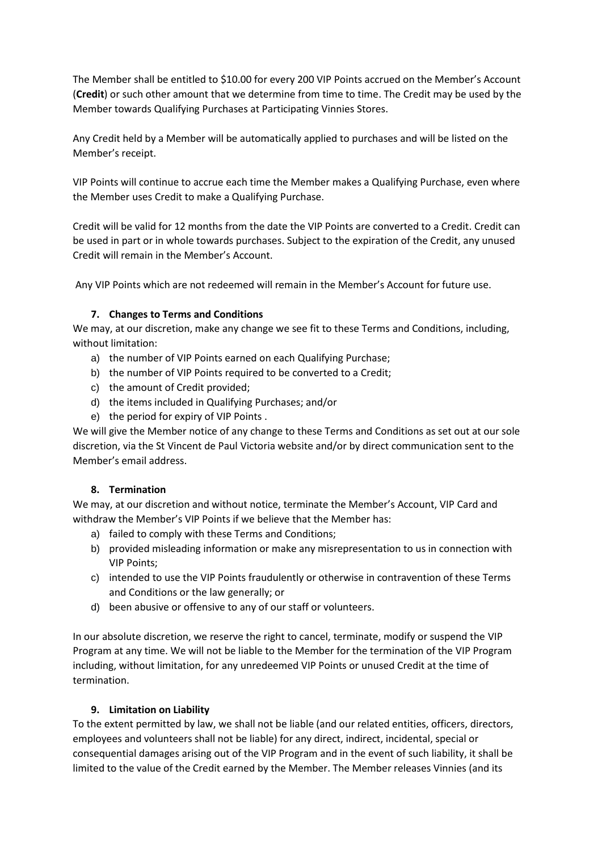The Member shall be entitled to \$10.00 for every 200 VIP Points accrued on the Member's Account (**Credit**) or such other amount that we determine from time to time. The Credit may be used by the Member towards Qualifying Purchases at Participating Vinnies Stores.

Any Credit held by a Member will be automatically applied to purchases and will be listed on the Member's receipt.

VIP Points will continue to accrue each time the Member makes a Qualifying Purchase, even where the Member uses Credit to make a Qualifying Purchase.

Credit will be valid for 12 months from the date the VIP Points are converted to a Credit. Credit can be used in part or in whole towards purchases. Subject to the expiration of the Credit, any unused Credit will remain in the Member's Account.

Any VIP Points which are not redeemed will remain in the Member's Account for future use.

# **7. Changes to Terms and Conditions**

We may, at our discretion, make any change we see fit to these Terms and Conditions, including, without limitation:

- a) the number of VIP Points earned on each Qualifying Purchase;
- b) the number of VIP Points required to be converted to a Credit;
- c) the amount of Credit provided;
- d) the items included in Qualifying Purchases; and/or
- e) the period for expiry of VIP Points .

We will give the Member notice of any change to these Terms and Conditions as set out at our sole discretion, via the St Vincent de Paul Victoria website and/or by direct communication sent to the Member's email address.

## **8. Termination**

We may, at our discretion and without notice, terminate the Member's Account, VIP Card and withdraw the Member's VIP Points if we believe that the Member has:

- a) failed to comply with these Terms and Conditions;
- b) provided misleading information or make any misrepresentation to us in connection with VIP Points;
- c) intended to use the VIP Points fraudulently or otherwise in contravention of these Terms and Conditions or the law generally; or
- d) been abusive or offensive to any of our staff or volunteers.

In our absolute discretion, we reserve the right to cancel, terminate, modify or suspend the VIP Program at any time. We will not be liable to the Member for the termination of the VIP Program including, without limitation, for any unredeemed VIP Points or unused Credit at the time of termination.

## **9. Limitation on Liability**

To the extent permitted by law, we shall not be liable (and our related entities, officers, directors, employees and volunteers shall not be liable) for any direct, indirect, incidental, special or consequential damages arising out of the VIP Program and in the event of such liability, it shall be limited to the value of the Credit earned by the Member. The Member releases Vinnies (and its